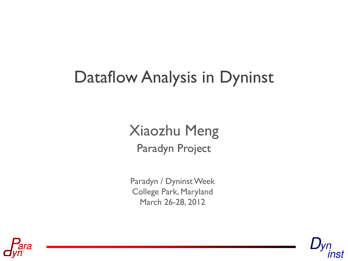# Dataflow Analysis in Dyninst

#### Paradyn Project Xiaozhu Meng

Paradyn / Dyninst Week College Park, Maryland March 26-28, 2012



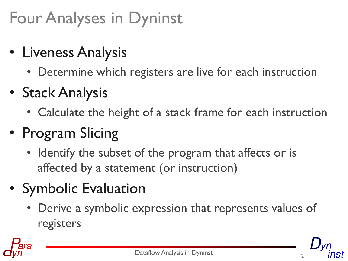# Four Analyses in Dyninst

- Liveness Analysis
	- Determine which registers are live for each instruction
- Stack Analysis
	- Calculate the height of a stack frame for each instruction
- Program Slicing
	- Identify the subset of the program that affects or is affected by a statement (or instruction)
- Symbolic Evaluation
	- Derive a symbolic expression that represents values of registers

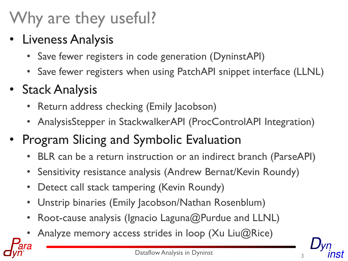# Why are they useful?

#### • Liveness Analysis

- Save fewer registers in code generation (DyninstAPI)
- Save fewer registers when using PatchAPI snippet interface (LLNL)

#### • Stack Analysis

- Return address checking (Emily Jacobson)
- AnalysisStepper in StackwalkerAPI (ProcControlAPI Integration)
- Program Slicing and Symbolic Evaluation
	- BLR can be a return instruction or an indirect branch (ParseAPI)
	- Sensitivity resistance analysis (Andrew Bernat/Kevin Roundy)
	- Detect call stack tampering (Kevin Roundy)
	- Unstrip binaries (Emily Jacobson/Nathan Rosenblum)
	- Root-cause analysis (Ignacio Laguna@Purdue and LLNL)
	- Analyze memory access strides in loop (Xu Liu $@$ Rice)

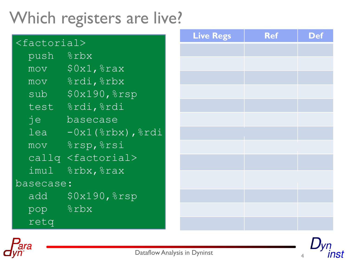### Which registers are live?

| $<$ factorial> |                                                                                                                                                                                                                                                                                                                         | <b>Live Regs</b> | <b>Ref</b> | <b>Def</b> |
|----------------|-------------------------------------------------------------------------------------------------------------------------------------------------------------------------------------------------------------------------------------------------------------------------------------------------------------------------|------------------|------------|------------|
|                |                                                                                                                                                                                                                                                                                                                         |                  |            |            |
| push           | $\frac{1}{6}$ rbx                                                                                                                                                                                                                                                                                                       |                  |            |            |
|                | $mov$ $$0x1,$ $$rax$                                                                                                                                                                                                                                                                                                    |                  |            |            |
|                | mov %rdi, %rbx                                                                                                                                                                                                                                                                                                          |                  |            |            |
|                | $sub$ $$0x190,$ $$rsp$                                                                                                                                                                                                                                                                                                  |                  |            |            |
|                | test &rdi, &rdi                                                                                                                                                                                                                                                                                                         |                  |            |            |
| je             | basecase                                                                                                                                                                                                                                                                                                                |                  |            |            |
|                | $lea -0x1$ ( $\varepsilon$ rbx), $\varepsilon$ rdi                                                                                                                                                                                                                                                                      |                  |            |            |
|                | mov %rsp, %rsi                                                                                                                                                                                                                                                                                                          |                  |            |            |
|                | callq <factorial></factorial>                                                                                                                                                                                                                                                                                           |                  |            |            |
|                | imul $\frac{1}{2}$ $\frac{1}{2}$ $\frac{1}{2}$ $\frac{1}{2}$ $\frac{1}{2}$ $\frac{1}{2}$ $\frac{1}{2}$ $\frac{1}{2}$ $\frac{1}{2}$ $\frac{1}{2}$ $\frac{1}{2}$ $\frac{1}{2}$ $\frac{1}{2}$ $\frac{1}{2}$ $\frac{1}{2}$ $\frac{1}{2}$ $\frac{1}{2}$ $\frac{1}{2}$ $\frac{1}{2}$ $\frac{1}{2}$ $\frac{1}{2}$ $\frac{1}{2$ |                  |            |            |
| basecase:      |                                                                                                                                                                                                                                                                                                                         |                  |            |            |
|                | add \$0x190, %rsp                                                                                                                                                                                                                                                                                                       |                  |            |            |
| pop &rbx       |                                                                                                                                                                                                                                                                                                                         |                  |            |            |
| retg           |                                                                                                                                                                                                                                                                                                                         |                  |            |            |





Dataflow Analysis in Dyninst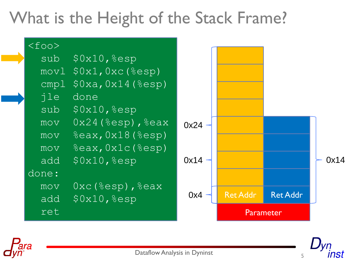### What is the Height of the Stack Frame?





Dataflow Analysis in Dyninst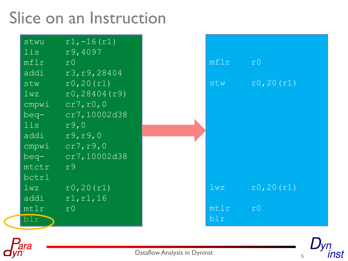### Slice on an Instruction

| stwu<br>lis.               | $r1, -16(r1)$<br>r9,4097 |      |                |
|----------------------------|--------------------------|------|----------------|
| mflr                       | r <sub>0</sub>           | mflr | r <sub>0</sub> |
| $\overline{\mathtt{addi}}$ | r3, r9, 28404            |      |                |
| stw                        | r0, 20(r1)               | stw  | r0, 20(r1)     |
| 1wz                        | r0, 28404(r9)            |      |                |
| cmpwi                      | cr7, r0, 0               |      |                |
| beq-                       | cr7,10002d38             |      |                |
| lis                        | r9,0                     |      |                |
| addi                       | r9, r9, 0                |      |                |
| cmpwi                      | cr7, r9, 0               |      |                |
| beg-                       | cr7,10002d38             |      |                |
| mtctr                      | r9                       |      |                |
| bctrl                      |                          |      |                |
| 1wz                        | r0, 20(r1)               | 1wz  | r0, 20(r1)     |
| addi                       | r1, r1, 16               |      |                |
| mtlr                       | r0                       | mtlr | r <sub>0</sub> |
| b1r                        |                          | blr  |                |



Dataflow Analysis in Dyninst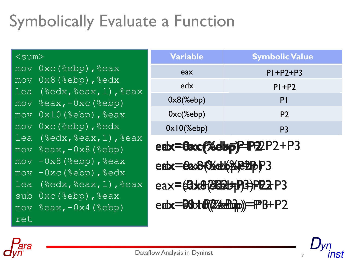# Symbolically Evaluate a Function

```
\leqsum>mov 0xc(%ebp),%eax
mov 0x8 (%ebp), %edx
lea (\text{3edx}, \text{3edx}, 1), \text{3edx}mov %eax, -0xc %ebp)mov 0x10 (%ebp), %eax
mov 0xc (%ebp), %edx
lea (\text{sedx}, \text{seax}, 1), \text{seax}mov %eax, -0x8 (%ebp)
mov -0x8 (%ebp), %eax
mov -0xc(%ebp), %edx
lea (\text{sedx}, \text{seax}, 1), \text{seax}sub 0xc(%ebp), %eax
mov \textdegreeeax, -\textdegree0x4 (\textdegreeebp)
ret
```

| <b>Variable</b>      | <b>Symbolic Value</b> |
|----------------------|-----------------------|
| eax                  | $P$  +P2+P3           |
| edx                  | $P$  +P2              |
| $0x8$ (%ebp)         | PI                    |
| $0xc$ $($ %ebp $)$   | P <sub>2</sub>        |
| $0 \times 10$ (%ebp) | P3                    |

eax=exx(%ebp)=P2P2+P3 eax=eax8(%ebppeBpP3 eax=**(Bx8@BBt+P3+P22+P3** edx=80xt8(%cmp)=PB+P2

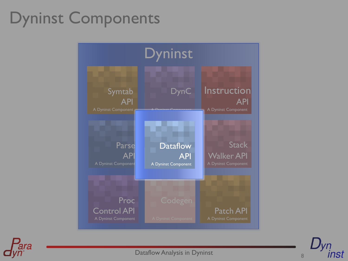### Dyninst Components





Dataflow Analysis in Dyninst

nst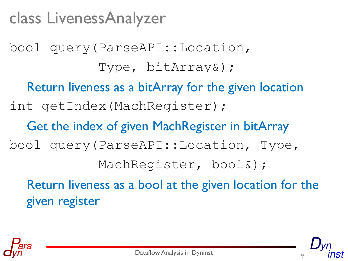### class LivenessAnalyzer

bool query(ParseAPI::Location, Type, bitArray&); Return liveness as a bitArray for the given location int getIndex(MachRegister); Get the index of given MachRegister in bitArray bool query(ParseAPI::Location, Type, MachRegister, bool&); Return liveness as a bool at the given location for the

given register



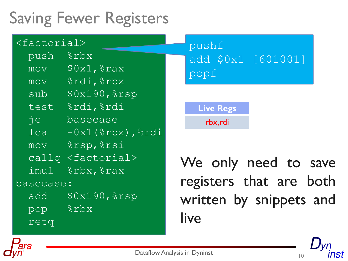## Saving Fewer Registers

|           | $<$ factorial>                                                                                                                                                                                                                                                                                                          | pushf                   |
|-----------|-------------------------------------------------------------------------------------------------------------------------------------------------------------------------------------------------------------------------------------------------------------------------------------------------------------------------|-------------------------|
| push      | $8$ rbx                                                                                                                                                                                                                                                                                                                 | add \$0x1 [601001]      |
|           | $mov$ $$0x1,$ $$rax$                                                                                                                                                                                                                                                                                                    | popf                    |
|           | mov %rdi, %rbx                                                                                                                                                                                                                                                                                                          |                         |
|           | $sub$ $$0x190,$ $$rsp$                                                                                                                                                                                                                                                                                                  |                         |
|           | test &rdi, &rdi                                                                                                                                                                                                                                                                                                         | <b>Live Regs</b>        |
| je        | basecase                                                                                                                                                                                                                                                                                                                | rbx,rdi                 |
|           | $lea -0x1$ ( $\varepsilon$ rbx), $\varepsilon$ rdi                                                                                                                                                                                                                                                                      |                         |
|           | mov %rsp, %rsi                                                                                                                                                                                                                                                                                                          |                         |
|           | callg <factorial></factorial>                                                                                                                                                                                                                                                                                           | We only need to save    |
|           | imul $\frac{1}{2}$ $\frac{1}{2}$ $\frac{1}{2}$ $\frac{1}{2}$ $\frac{1}{2}$ $\frac{1}{2}$ $\frac{1}{2}$ $\frac{1}{2}$ $\frac{1}{2}$ $\frac{1}{2}$ $\frac{1}{2}$ $\frac{1}{2}$ $\frac{1}{2}$ $\frac{1}{2}$ $\frac{1}{2}$ $\frac{1}{2}$ $\frac{1}{2}$ $\frac{1}{2}$ $\frac{1}{2}$ $\frac{1}{2}$ $\frac{1}{2}$ $\frac{1}{2$ |                         |
| basecase: |                                                                                                                                                                                                                                                                                                                         | registers that are both |
|           | add \$0x190, %rsp                                                                                                                                                                                                                                                                                                       | written by snippets and |
|           | pop &rbx                                                                                                                                                                                                                                                                                                                |                         |
| retg      |                                                                                                                                                                                                                                                                                                                         | live                    |



**10 Dataflow Analysis in Dyninst** 

inst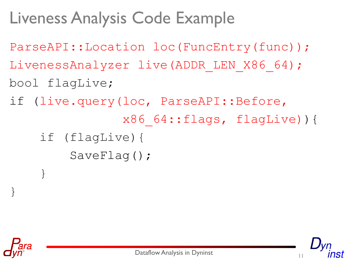## Liveness Analysis Code Example

- ParseAPI::Location loc(FuncEntry(func));
- LivenessAnalyzer live(ADDR\_LEN\_X86\_64);
- bool flagLive;
- if (live.query(loc, ParseAPI::Before,
	- x86\_64::flags, flagLive)){
	- if (flagLive){ SaveFlag();



}

}

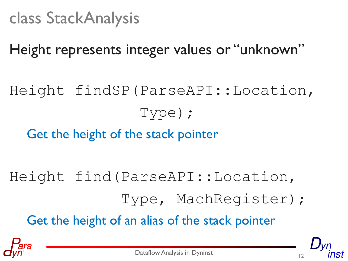Height represents integer values or "unknown"

Height findSP(ParseAPI::Location, Type);

Get the height of the stack pointer

- Height find(ParseAPI::Location,
	- Type, MachRegister);

Get the height of an alias of the stack pointer

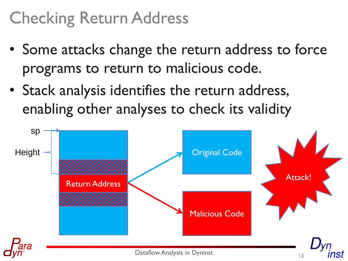### Checking Return Address

- Some attacks change the return address to force programs to return to malicious code.
- Stack analysis identifies the return address, enabling other analyses to check its validity

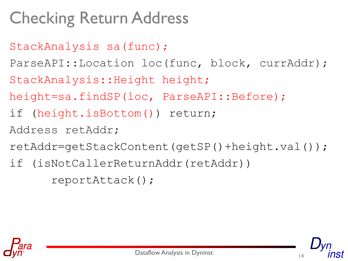# Checking Return Address

- StackAnalysis sa(func);
- ParseAPI::Location loc(func, block, currAddr);
- StackAnalysis::Height height;
- height=sa.findSP(loc, ParseAPI::Before);
- if (height.isBottom()) return;
- Address retAddr;
- retAddr=getStackContent(getSP()+height.val());
- if (isNotCallerReturnAddr(retAddr))

reportAttack();



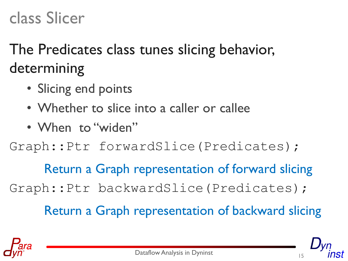#### class Slicer

#### The Predicates class tunes slicing behavior, determining

- Slicing end points
- Whether to slice into a caller or callee
- When to "widen"

#### Graph::Ptr forwardSlice(Predicates);

Return a Graph representation of forward slicing Graph::Ptr backwardSlice(Predicates);

Return a Graph representation of backward slicing

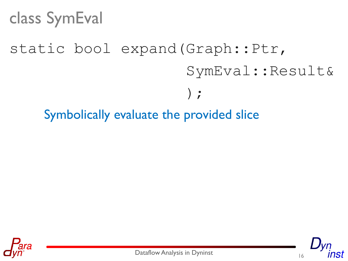#### class SymEval

# static bool expand(Graph::Ptr, SymEval::Result&  $\frac{1}{2}$ Symbolically evaluate the provided slice





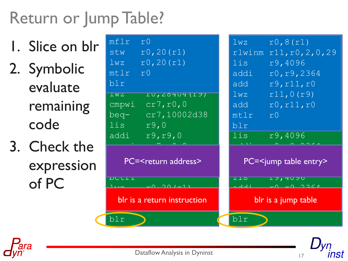# Return or Jump Table?

- 1. Slice on blr 2. Symbolic evaluate remaining code
- 3. Check the expression of PC

| mflr                                    | r0, 8(r1)                           |  |
|-----------------------------------------|-------------------------------------|--|
| r <sub>0</sub>                          | 1wz                                 |  |
| r0, 20(r1)<br>stw                       | rlwinm r11, r0, 2, 0, 29            |  |
| r0, 20(r1)                              | r9,4096                             |  |
| 1wz                                     | lis l                               |  |
| mtlr                                    | addi                                |  |
| r0                                      | r0, r9, 2364                        |  |
| blr                                     | r9, r11, r0<br>add                  |  |
| $\overline{\perp}$ W $\overline{\perp}$ | r11,0(r9)                           |  |
| TU, ZO4U4(TY)                           | 1wz                                 |  |
| cr7, r0, 0                              | r0, r11, r0                         |  |
| cmpwi                                   | add                                 |  |
| cr7,10002d38                            | mt1r                                |  |
| beq-                                    | r0                                  |  |
| lis l<br>r9,0                           | blr                                 |  |
| r9, r9, 0                               | lis                                 |  |
| addi                                    | r9,4096                             |  |
| PC= <return address=""></return>        | PC= <jump entry="" table=""></jump> |  |
| <b>DCCTT</b><br>201 <sub>1</sub>        | <u>I 9, 40 90</u><br>エエコ<br>خلملمہ  |  |
| blr is a return instruction             | blr is a jump table                 |  |
| blr                                     | blr                                 |  |

7.ST



Dataflow Analysis in Dyninst **17** 17